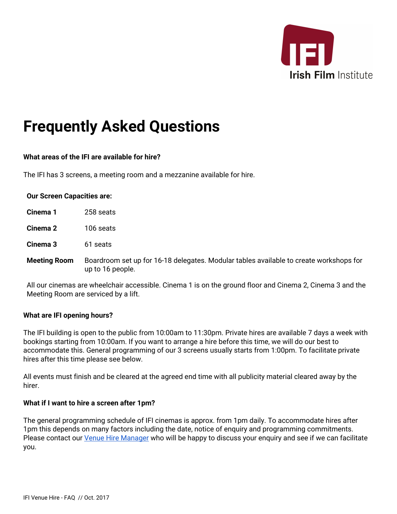

# **Frequently Asked Questions**

## **What areas of the IFI are available for hire?**

The IFI has 3 screens, a meeting room and a mezzanine available for hire.

#### **Our Screen Capacities are:**

| Cinema 1            | 258 seats                                                                                                  |
|---------------------|------------------------------------------------------------------------------------------------------------|
| Cinema 2            | 106 seats                                                                                                  |
| Cinema 3            | 61 seats                                                                                                   |
| <b>Meeting Room</b> | Boardroom set up for 16-18 delegates. Modular tables available to create workshops for<br>up to 16 people. |

All our cinemas are wheelchair accessible. Cinema 1 is on the ground floor and Cinema 2, Cinema 3 and the Meeting Room are serviced by a lift.

#### **What are IFI opening hours?**

The IFI building is open to the public from 10:00am to 11:30pm. Private hires are available 7 days a week with bookings starting from 10:00am. If you want to arrange a hire before this time, we will do our best to accommodate this. General programming of our 3 screens usually starts from 1:00pm. To facilitate private hires after this time please see below.

All events must finish and be cleared at the agreed end time with all publicity material cleared away by the hirer.

#### **What if I want to hire a screen after 1pm?**

The general programming schedule of IFI cinemas is approx. from 1pm daily. To accommodate hires after 1pm this depends on many factors including the date, notice of enquiry and programming commitments. Please contact our Venue Hire [Manager](mailto:hire@irishfilm.ie) who will be happy to discuss your enquiry and see if we can facilitate you.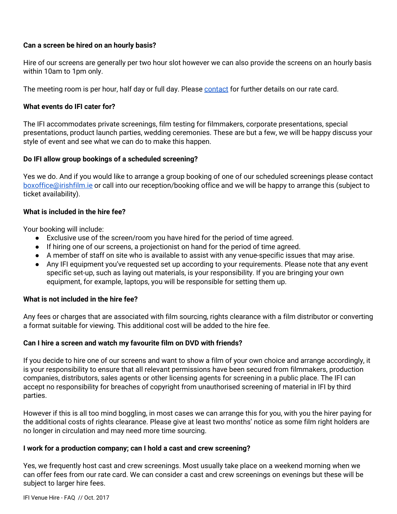## **Can a screen be hired on an hourly basis?**

Hire of our screens are generally per two hour slot however we can also provide the screens on an hourly basis within 10am to 1pm only.

The meeting room is per hour, half day or full day. Please [contact](mailto:hire@irishfilm.ie) for further details on our rate card.

# **What events do IFI cater for?**

The IFI accommodates private screenings, film testing for filmmakers, corporate presentations, special presentations, product launch parties, wedding ceremonies. These are but a few, we will be happy discuss your style of event and see what we can do to make this happen.

# **Do IFI allow group bookings of a scheduled screening?**

Yes we do. And if you would like to arrange a group booking of one of our scheduled screenings please contact [boxoffice@irishfilm.ie](mailto:boxoffice@irishfilm.ie) or call into our reception/booking office and we will be happy to arrange this (subject to ticket availability).

## **What is included in the hire fee?**

Your booking will include:

- Exclusive use of the screen/room you have hired for the period of time agreed.
- If hiring one of our screens, a projectionist on hand for the period of time agreed.
- A member of staff on site who is available to assist with any venue-specific issues that may arise.
- Any IFI equipment you've requested set up according to your requirements. Please note that any event specific set-up, such as laying out materials, is your responsibility. If you are bringing your own equipment, for example, laptops, you will be responsible for setting them up.

## **What is not included in the hire fee?**

Any fees or charges that are associated with film sourcing, rights clearance with a film distributor or converting a format suitable for viewing. This additional cost will be added to the hire fee.

## **Can I hire a screen and watch my favourite film on DVD with friends?**

If you decide to hire one of our screens and want to show a film of your own choice and arrange accordingly, it is your responsibility to ensure that all relevant permissions have been secured from filmmakers, production companies, distributors, sales agents or other licensing agents for screening in a public place. The IFI can accept no responsibility for breaches of copyright from unauthorised screening of material in IFI by third parties.

However if this is all too mind boggling, in most cases we can arrange this for you, with you the hirer paying for the additional costs of rights clearance. Please give at least two months' notice as some film right holders are no longer in circulation and may need more time sourcing.

## **I work for a production company; can I hold a cast and crew screening?**

Yes, we frequently host cast and crew screenings. Most usually take place on a weekend morning when we can offer fees from our rate card. We can consider a cast and crew screenings on evenings but these will be subject to larger hire fees.